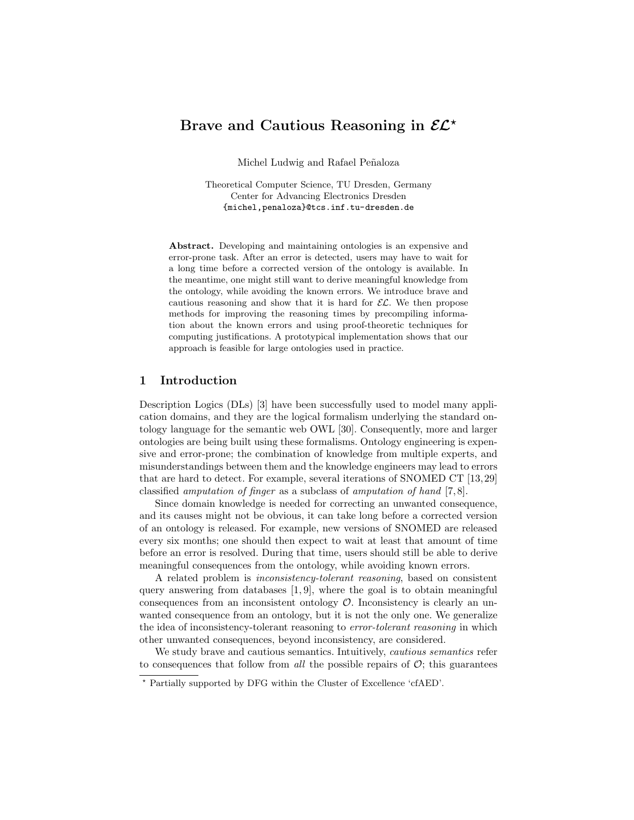# Brave and Cautious Reasoning in  $\mathcal{EL}^*$

Michel Ludwig and Rafael Peñaloza

Theoretical Computer Science, TU Dresden, Germany Center for Advancing Electronics Dresden {michel,penaloza}@tcs.inf.tu-dresden.de

Abstract. Developing and maintaining ontologies is an expensive and error-prone task. After an error is detected, users may have to wait for a long time before a corrected version of the ontology is available. In the meantime, one might still want to derive meaningful knowledge from the ontology, while avoiding the known errors. We introduce brave and cautious reasoning and show that it is hard for  $\mathcal{EL}$ . We then propose methods for improving the reasoning times by precompiling information about the known errors and using proof-theoretic techniques for computing justifications. A prototypical implementation shows that our approach is feasible for large ontologies used in practice.

### 1 Introduction

Description Logics (DLs) [3] have been successfully used to model many application domains, and they are the logical formalism underlying the standard ontology language for the semantic web OWL [30]. Consequently, more and larger ontologies are being built using these formalisms. Ontology engineering is expensive and error-prone; the combination of knowledge from multiple experts, and misunderstandings between them and the knowledge engineers may lead to errors that are hard to detect. For example, several iterations of SNOMED CT [13, 29] classified amputation of finger as a subclass of amputation of hand [7, 8].

Since domain knowledge is needed for correcting an unwanted consequence, and its causes might not be obvious, it can take long before a corrected version of an ontology is released. For example, new versions of SNOMED are released every six months; one should then expect to wait at least that amount of time before an error is resolved. During that time, users should still be able to derive meaningful consequences from the ontology, while avoiding known errors.

A related problem is inconsistency-tolerant reasoning, based on consistent query answering from databases  $[1, 9]$ , where the goal is to obtain meaningful consequences from an inconsistent ontology  $\mathcal{O}$ . Inconsistency is clearly an unwanted consequence from an ontology, but it is not the only one. We generalize the idea of inconsistency-tolerant reasoning to error-tolerant reasoning in which other unwanted consequences, beyond inconsistency, are considered.

We study brave and cautious semantics. Intuitively, *cautious semantics* refer to consequences that follow from *all* the possible repairs of  $\mathcal{O}$ ; this guarantees

<sup>?</sup> Partially supported by DFG within the Cluster of Excellence 'cfAED'.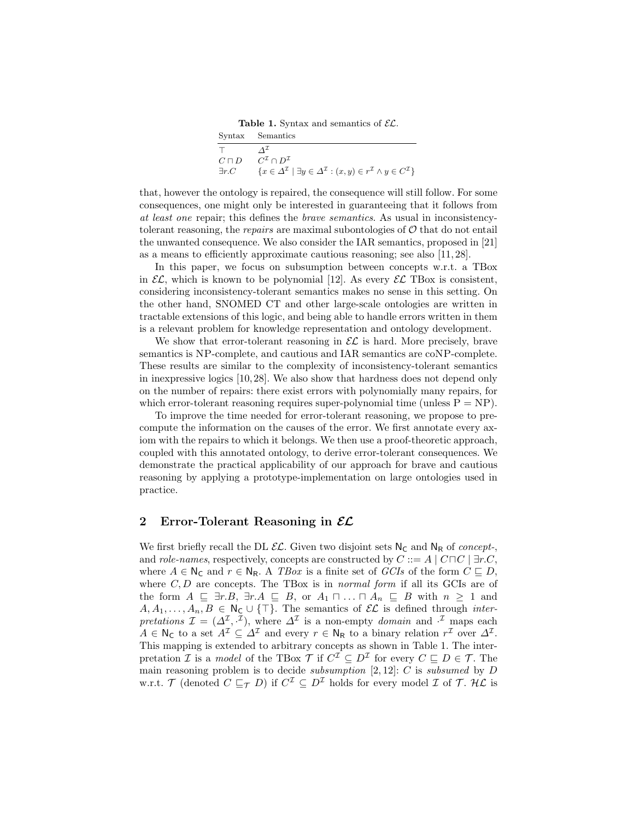**Table 1.** Syntax and semantics of  $\mathcal{EL}$ .

|                | Syntax Semantics                                                                                                                    |
|----------------|-------------------------------------------------------------------------------------------------------------------------------------|
|                |                                                                                                                                     |
| $C\sqcap D$    | $C^{\mathcal{I}} \cap D^{\mathcal{I}}$                                                                                              |
| $\exists r. C$ | $\{x \in \Delta^{\mathcal{I}} \mid \exists y \in \Delta^{\mathcal{I}} : (x, y) \in r^{\mathcal{I}} \wedge y \in C^{\mathcal{I}}\}\$ |

that, however the ontology is repaired, the consequence will still follow. For some consequences, one might only be interested in guaranteeing that it follows from at least one repair; this defines the brave semantics. As usual in inconsistencytolerant reasoning, the *repairs* are maximal subontologies of  $\mathcal{O}$  that do not entail the unwanted consequence. We also consider the IAR semantics, proposed in [21] as a means to efficiently approximate cautious reasoning; see also [11, 28].

In this paper, we focus on subsumption between concepts w.r.t. a TBox in  $\mathcal{EL}$ , which is known to be polynomial [12]. As every  $\mathcal{EL}$  TBox is consistent, considering inconsistency-tolerant semantics makes no sense in this setting. On the other hand, SNOMED CT and other large-scale ontologies are written in tractable extensions of this logic, and being able to handle errors written in them is a relevant problem for knowledge representation and ontology development.

We show that error-tolerant reasoning in  $\mathcal{EL}$  is hard. More precisely, brave semantics is NP-complete, and cautious and IAR semantics are coNP-complete. These results are similar to the complexity of inconsistency-tolerant semantics in inexpressive logics [10, 28]. We also show that hardness does not depend only on the number of repairs: there exist errors with polynomially many repairs, for which error-tolerant reasoning requires super-polynomial time (unless  $P = NP$ ).

To improve the time needed for error-tolerant reasoning, we propose to precompute the information on the causes of the error. We first annotate every axiom with the repairs to which it belongs. We then use a proof-theoretic approach, coupled with this annotated ontology, to derive error-tolerant consequences. We demonstrate the practical applicability of our approach for brave and cautious reasoning by applying a prototype-implementation on large ontologies used in practice.

#### 2 Error-Tolerant Reasoning in  $\mathcal{EL}$

We first briefly recall the DL  $\mathcal{EL}$ . Given two disjoint sets  $\mathsf{N}_{\mathsf{C}}$  and  $\mathsf{N}_{\mathsf{R}}$  of concept-, and *role-names*, respectively, concepts are constructed by  $C ::= A \mid C \sqcap C \mid \exists r.C$ , where  $A \in N_{\mathbb{C}}$  and  $r \in N_{\mathbb{R}}$ . A TBox is a finite set of GCIs of the form  $C \subseteq D$ , where  $C, D$  are concepts. The TBox is in *normal form* if all its GCIs are of the form  $A \subseteq \exists r.B, \exists r.A \subseteq B$ , or  $A_1 \sqcap ... \sqcap A_n \subseteq B$  with  $n \geq 1$  and  $A, A_1, \ldots, A_n, B \in \mathsf{N}_{\mathsf{C}} \cup \{\top\}.$  The semantics of  $\mathcal{EL}$  is defined through *inter*pretations  $\mathcal{I} = (\Delta^{\mathcal{I}}, \cdot^{\mathcal{I}})$ , where  $\Delta^{\mathcal{I}}$  is a non-empty domain and  $\cdot^{\mathcal{I}}$  maps each  $A \in \mathsf{N}_{\mathsf{C}}$  to a set  $A^{\mathcal{I}} \subseteq \Delta^{\mathcal{I}}$  and every  $r \in \mathsf{N}_{\mathsf{R}}$  to a binary relation  $r^{\mathcal{I}}$  over  $\Delta^{\mathcal{I}}$ . This mapping is extended to arbitrary concepts as shown in Table 1. The interpretation *I* is a *model* of the TBox  $\mathcal{T}$  if  $C^{\mathcal{I}} \subseteq D^{\mathcal{I}}$  for every  $C \subseteq D \in \mathcal{T}$ . The main reasoning problem is to decide *subsumption*  $[2, 12]$ : C is *subsumed* by D w.r.t.  $\mathcal T$  (denoted  $C \sqsubseteq_{\mathcal T} D$ ) if  $C^{\mathcal I} \subseteq D^{\mathcal I}$  holds for every model  $\mathcal I$  of  $\mathcal T$ . H $\mathcal L$  is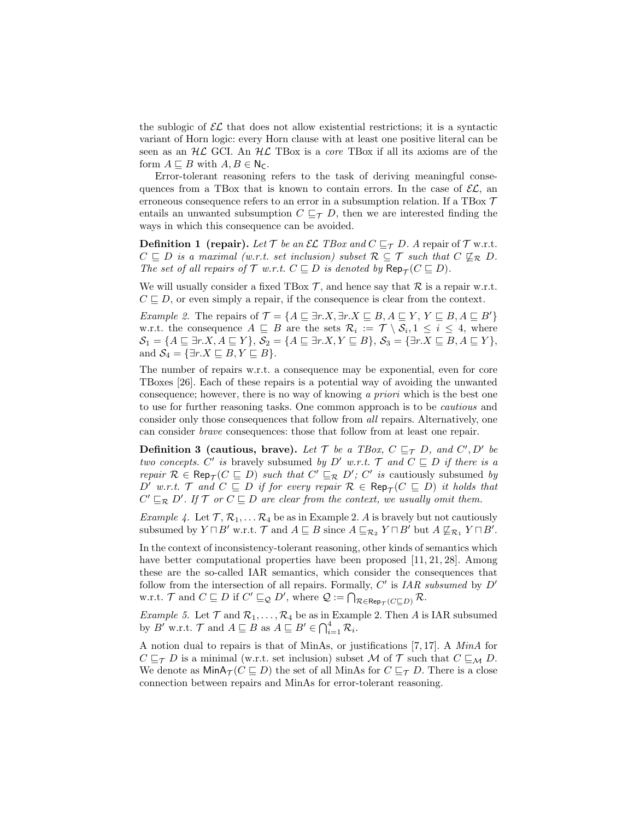the sublogic of  $\mathcal{EL}$  that does not allow existential restrictions; it is a syntactic variant of Horn logic: every Horn clause with at least one positive literal can be seen as an  $H\mathcal{L}$  GCI. An  $H\mathcal{L}$  TBox is a *core* TBox if all its axioms are of the form  $A \sqsubseteq B$  with  $A, B \in N_C$ .

Error-tolerant reasoning refers to the task of deriving meaningful consequences from a TBox that is known to contain errors. In the case of  $\mathcal{EL}$ , an erroneous consequence refers to an error in a subsumption relation. If a TBox  $\mathcal T$ entails an unwanted subsumption  $C \sqsubseteq_{\mathcal{T}} D$ , then we are interested finding the ways in which this consequence can be avoided.

**Definition 1 (repair).** Let  $\mathcal T$  be an  $\mathcal{EL}$  TBox and  $C \sqsubseteq_{\mathcal T} D$ . A repair of  $\mathcal T$  w.r.t.  $C \subseteq D$  is a maximal (w.r.t. set inclusion) subset  $\mathcal{R} \subseteq \mathcal{T}$  such that  $C \nsubseteq_{\mathcal{R}} D$ . The set of all repairs of  $\mathcal T$  w.r.t.  $C \sqsubseteq D$  is denoted by  $\mathsf{Rep}_{\mathcal T}(C \sqsubseteq D)$ .

We will usually consider a fixed TBox  $\mathcal{T}$ , and hence say that  $\mathcal{R}$  is a repair w.r.t.  $C \sqsubseteq D$ , or even simply a repair, if the consequence is clear from the context.

Example 2. The repairs of  $\mathcal{T} = \{A \sqsubseteq \exists r.X, \exists r.X \sqsubseteq B, A \sqsubseteq Y, Y \sqsubseteq B, A \sqsubseteq B'\}\$ w.r.t. the consequence  $A \subseteq B$  are the sets  $\mathcal{R}_i := \mathcal{T} \setminus \mathcal{S}_i, 1 \leq i \leq 4$ , where  $\mathcal{S}_1 = \{A \sqsubseteq \exists r.X, A \sqsubseteq Y\}, \mathcal{S}_2 = \{A \sqsubseteq \exists r.X, Y \sqsubseteq B\}, \mathcal{S}_3 = \{\exists r.X \sqsubseteq B, A \sqsubseteq Y\},\$ and  $S_4 = \{\exists r.X \sqsubseteq B, Y \sqsubseteq B\}.$ 

The number of repairs w.r.t. a consequence may be exponential, even for core TBoxes [26]. Each of these repairs is a potential way of avoiding the unwanted consequence; however, there is no way of knowing a priori which is the best one to use for further reasoning tasks. One common approach is to be cautious and consider only those consequences that follow from all repairs. Alternatively, one can consider brave consequences: those that follow from at least one repair.

**Definition 3 (cautious, brave).** Let T be a TBox,  $C \sqsubseteq_{\mathcal{T}} D$ , and  $C', D'$  be two concepts. C' is bravely subsumed by D' w.r.t. T and  $C \subseteq D$  if there is a repair  $\mathcal{R} \in \text{Rep}_{\mathcal{T}}(C \sqsubseteq D)$  such that  $C' \sqsubseteq_{\mathcal{R}} D'$ ;  $C'$  is cautiously subsumed by D' w.r.t.  $\mathcal{T}$  and  $C \subseteq D$  if for every repair  $\mathcal{R} \in \mathsf{Rep}_{\mathcal{T}}(C \subseteq D)$  it holds that  $C' \sqsubseteq_{\mathcal{R}} D'$ . If  $\mathcal{T}$  or  $C \sqsubseteq D$  are clear from the context, we usually omit them.

Example 4. Let  $\mathcal{T}, \mathcal{R}_1, \ldots \mathcal{R}_4$  be as in Example 2. A is bravely but not cautiously subsumed by  $Y \sqcap B'$  w.r.t.  $\mathcal{T}$  and  $A \sqsubseteq B$  since  $A \sqsubseteq_{\mathcal{R}_2} Y \sqcap B'$  but  $A \not\sqsubseteq_{\mathcal{R}_1} Y \sqcap B'$ .

In the context of inconsistency-tolerant reasoning, other kinds of semantics which have better computational properties have been proposed [11, 21, 28]. Among these are the so-called IAR semantics, which consider the consequences that follow from the intersection of all repairs. Formally,  $C'$  is IAR subsumed by  $D'$ w.r.t.  $\mathcal{T}$  and  $C \sqsubseteq D$  if  $C' \sqsubseteq_{\mathcal{Q}} D'$ , where  $\mathcal{Q} := \bigcap_{\mathcal{R} \in \mathsf{Rep}_{\mathcal{T}}(C \sqsubseteq D)} \mathcal{R}$ .

Example 5. Let  $\mathcal T$  and  $\mathcal R_1,\ldots,\mathcal R_4$  be as in Example 2. Then A is IAR subsumed by B' w.r.t.  $\mathcal{T}$  and  $A \sqsubseteq B$  as  $A \sqsubseteq B' \in \bigcap_{i=1}^4 \mathcal{R}_i$ .

A notion dual to repairs is that of MinAs, or justifications [7, 17]. A MinA for  $C \sqsubseteq_{\mathcal{T}} D$  is a minimal (w.r.t. set inclusion) subset M of T such that  $C \sqsubseteq_{\mathcal{M}} D$ . We denote as  $\text{MinA}_{\mathcal{T}}(C \sqsubseteq D)$  the set of all MinAs for  $C \sqsubseteq_{\mathcal{T}} D$ . There is a close connection between repairs and MinAs for error-tolerant reasoning.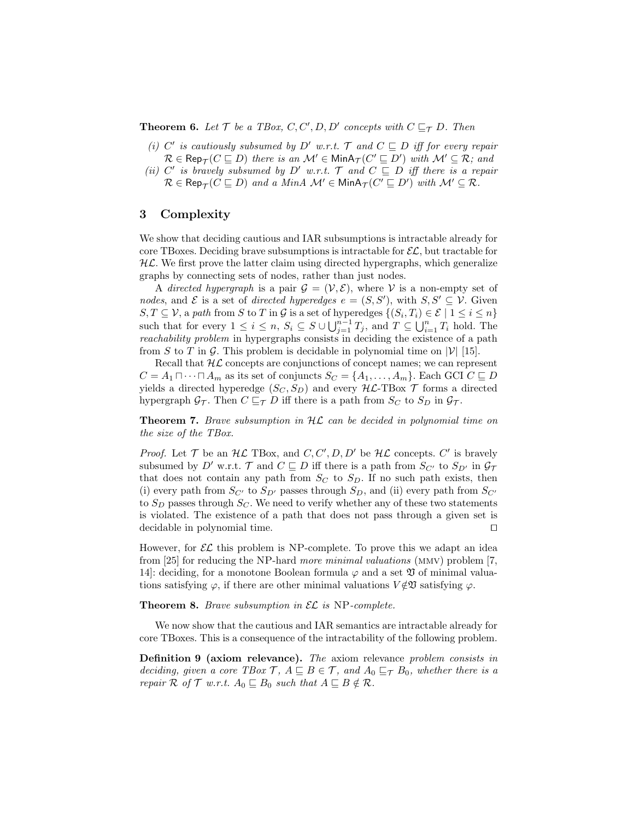**Theorem 6.** Let  $\mathcal{T}$  be a TBox, C, C', D, D' concepts with  $C \sqsubseteq_{\mathcal{T}} D$ . Then

- (i) C' is cautiously subsumed by D' w.r.t.  $\mathcal{T}$  and  $C \subseteq D$  iff for every repair  $\mathcal{R} \in \mathsf{Rep}_{\mathcal{T}}(C \sqsubseteq D)$  there is an  $\mathcal{M}' \in \mathsf{MinA}_{\mathcal{T}}(C' \sqsubseteq D')$  with  $\mathcal{M}' \subseteq \mathcal{R}$ ; and
- (ii) C' is bravely subsumed by D' w.r.t.  $\mathcal{T}$  and  $C \subseteq D$  iff there is a repair  $\mathcal{R} \in \mathsf{Rep}_{\mathcal{T}}(C \sqsubseteq D)$  and a MinA  $\mathcal{M}' \in \mathsf{MinA}_{\mathcal{T}}(C' \sqsubseteq D')$  with  $\mathcal{M}' \subseteq \mathcal{R}$ .

# 3 Complexity

We show that deciding cautious and IAR subsumptions is intractable already for core TBoxes. Deciding brave subsumptions is intractable for  $\mathcal{EL}$ , but tractable for  $H\mathcal{L}$ . We first prove the latter claim using directed hypergraphs, which generalize graphs by connecting sets of nodes, rather than just nodes.

A directed hypergraph is a pair  $\mathcal{G} = (\mathcal{V}, \mathcal{E})$ , where V is a non-empty set of nodes, and  $\mathcal E$  is a set of directed hyperedges  $e = (S, S')$ , with  $S, S' \subseteq \mathcal V$ . Given  $S, T \subseteq V$ , a path from S to T in G is a set of hyperedges  $\{(S_i, T_i) \in \mathcal{E} \mid 1 \leq i \leq n\}$ such that for every  $1 \leq i \leq n$ ,  $S_i \subseteq S \cup \bigcup_{j=1}^{n-1} T_j$ , and  $T \subseteq \bigcup_{i=1}^{n} T_i$  hold. The reachability problem in hypergraphs consists in deciding the existence of a path from S to T in G. This problem is decidable in polynomial time on  $|\mathcal{V}|$  [15].

Recall that  $H\mathcal{L}$  concepts are conjunctions of concept names; we can represent  $C = A_1 \sqcap \cdots \sqcap A_m$  as its set of conjuncts  $S_C = \{A_1, \ldots, A_m\}$ . Each GCI  $C \sqsubseteq D$ yields a directed hyperedge  $(S_C, S_D)$  and every  $H\mathcal{L}\text{-}\text{TBox }\mathcal{T}$  forms a directed hypergraph  $\mathcal{G}_{\mathcal{T}}$ . Then  $C \sqsubseteq_{\mathcal{T}} D$  iff there is a path from  $S_C$  to  $S_D$  in  $\mathcal{G}_{\mathcal{T}}$ .

**Theorem 7.** Brave subsumption in  $H\mathcal{L}$  can be decided in polynomial time on the size of the TBox.

*Proof.* Let  $\mathcal T$  be an  $H\mathcal L$  TBox, and  $C, C', D, D'$  be  $H\mathcal L$  concepts.  $C'$  is bravely subsumed by D' w.r.t. T and  $C \subseteq D$  iff there is a path from  $S_{C'}$  to  $S_{D'}$  in  $\mathcal{G}_{\mathcal{T}}$ that does not contain any path from  $S_C$  to  $S_D$ . If no such path exists, then (i) every path from  $S_{C'}$  to  $S_{D'}$  passes through  $S_D$ , and (ii) every path from  $S_{C'}$ to  $S_D$  passes through  $S_C$ . We need to verify whether any of these two statements is violated. The existence of a path that does not pass through a given set is  $\alpha$  decidable in polynomial time.

However, for  $\mathcal{EL}$  this problem is NP-complete. To prove this we adapt an idea from [25] for reducing the NP-hard more minimal valuations (mmv) problem [7, 14. deciding, for a monotone Boolean formula  $\varphi$  and a set  $\mathfrak V$  of minimal valuations satisfying  $\varphi$ , if there are other minimal valuations  $V \notin \mathfrak{V}$  satisfying  $\varphi$ .

**Theorem 8.** Brave subsumption in  $\mathcal{EL}$  is NP-complete.

We now show that the cautious and IAR semantics are intractable already for core TBoxes. This is a consequence of the intractability of the following problem.

Definition 9 (axiom relevance). The axiom relevance problem consists in deciding, given a core TBox  $\mathcal{T}$ ,  $A \sqsubseteq B \in \mathcal{T}$ , and  $A_0 \sqsubseteq_{\mathcal{T}} B_0$ , whether there is a repair  $\mathcal R$  of  $\mathcal T$  w.r.t.  $A_0 \sqsubseteq B_0$  such that  $A \sqsubseteq B \notin \mathcal R$ .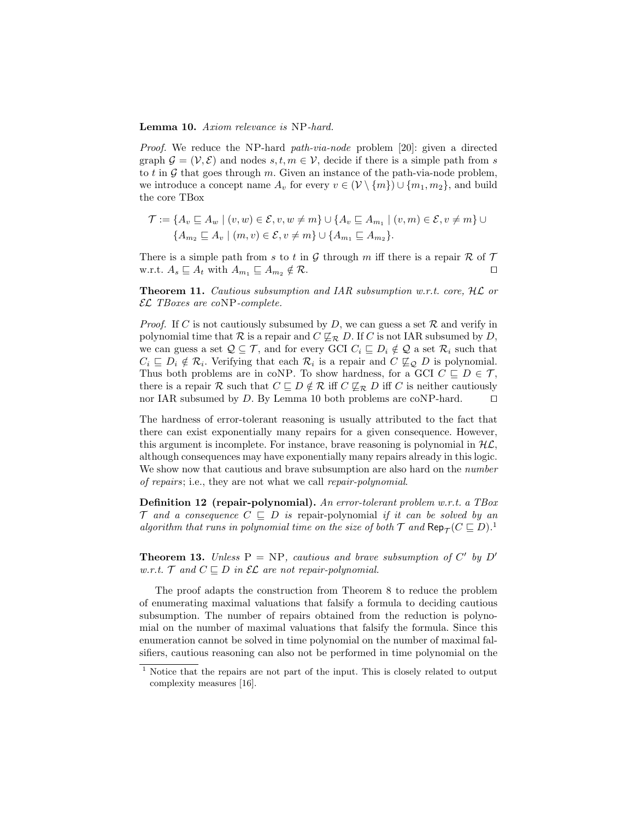Lemma 10. Axiom relevance is NP-hard.

Proof. We reduce the NP-hard path-via-node problem [20]: given a directed graph  $\mathcal{G} = (\mathcal{V}, \mathcal{E})$  and nodes  $s, t, m \in \mathcal{V}$ , decide if there is a simple path from s to t in  $\mathcal G$  that goes through m. Given an instance of the path-via-node problem, we introduce a concept name  $A_v$  for every  $v \in (\mathcal{V} \setminus \{m\}) \cup \{m_1, m_2\}$ , and build the core TBox

$$
\mathcal{T} := \{ A_v \sqsubseteq A_w \mid (v, w) \in \mathcal{E}, v, w \neq m \} \cup \{ A_v \sqsubseteq A_{m_1} \mid (v, m) \in \mathcal{E}, v \neq m \} \cup \{ A_{m_2} \sqsubseteq A_v \mid (m, v) \in \mathcal{E}, v \neq m \} \cup \{ A_{m_1} \sqsubseteq A_{m_2} \}.
$$

There is a simple path from s to t in G through m iff there is a repair  $\mathcal R$  of  $\mathcal T$ w.r.t.  $A_s \subseteq A_t$  with  $A_{m_1} \subseteq A_{m_2} \notin \mathcal{R}$ .

Theorem 11. Cautious subsumption and IAR subsumption w.r.t. core, HL or EL TBoxes are coNP-complete.

*Proof.* If C is not cautiously subsumed by D, we can guess a set  $\mathcal{R}$  and verify in polynomial time that R is a repair and  $C \not\sqsubseteq_R D$ . If C is not IAR subsumed by D, we can guess a set  $\mathcal{Q} \subseteq \mathcal{T}$ , and for every GCI  $C_i \sqsubseteq D_i \notin \mathcal{Q}$  a set  $\mathcal{R}_i$  such that  $C_i \subseteq D_i \notin \mathcal{R}_i$ . Verifying that each  $\mathcal{R}_i$  is a repair and  $C \nsubseteq_{\mathcal{Q}} D$  is polynomial. Thus both problems are in coNP. To show hardness, for a GCI  $C \subseteq D \in \mathcal{T}$ , there is a repair R such that  $C \subseteq D \notin \mathcal{R}$  iff  $C \nsubseteq_{\mathcal{R}} D$  iff C is neither cautiously nor IAR subsumed by D. By Lemma 10 both problems are coNP-hard.  $\square$ 

The hardness of error-tolerant reasoning is usually attributed to the fact that there can exist exponentially many repairs for a given consequence. However, this argument is incomplete. For instance, brave reasoning is polynomial in  $H\mathcal{L}$ , although consequences may have exponentially many repairs already in this logic. We show now that cautious and brave subsumption are also hard on the *number* of repairs; i.e., they are not what we call repair-polynomial.

Definition 12 (repair-polynomial). An error-tolerant problem w.r.t. a TBox  $\mathcal T$  and a consequence  $C \subseteq D$  is repair-polynomial if it can be solved by an algorithm that runs in polynomial time on the size of both  $\mathcal T$  and  $\mathsf{Rep}_{\mathcal T}(C\sqsubseteq D)$ .<sup>1</sup>

**Theorem 13.** Unless  $P = NP$ , cautious and brave subsumption of C' by D' w.r.t.  $\mathcal{T}$  and  $C \sqsubseteq D$  in  $\mathcal{EL}$  are not repair-polynomial.

The proof adapts the construction from Theorem 8 to reduce the problem of enumerating maximal valuations that falsify a formula to deciding cautious subsumption. The number of repairs obtained from the reduction is polynomial on the number of maximal valuations that falsify the formula. Since this enumeration cannot be solved in time polynomial on the number of maximal falsifiers, cautious reasoning can also not be performed in time polynomial on the

<sup>&</sup>lt;sup>1</sup> Notice that the repairs are not part of the input. This is closely related to output complexity measures [16].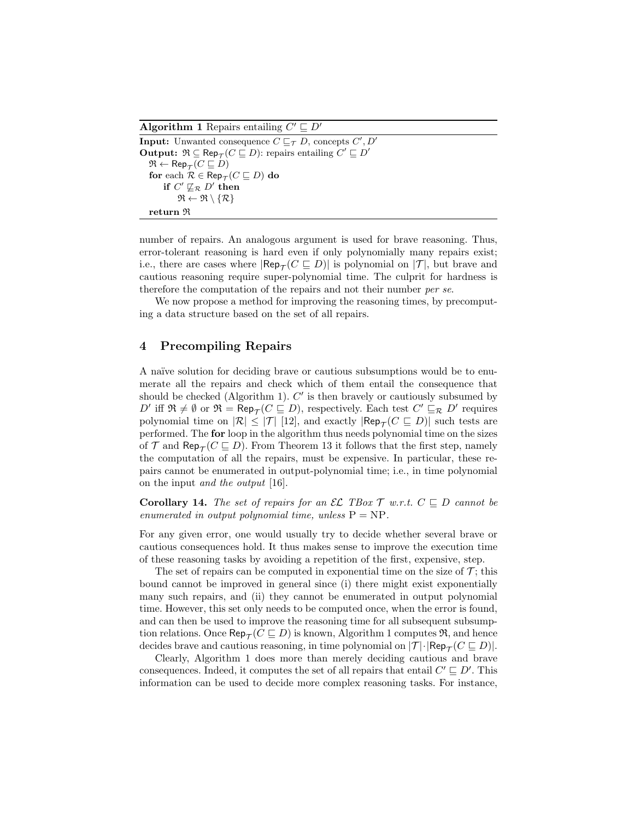Algorithm 1 Repairs entailing  $C' \sqsubseteq D'$ 

```
Input: Unwanted consequence C \sqsubseteq_{\mathcal{T}} D, concepts C', D'Output: \Re \subseteq \text{Rep}_{\mathcal{T}}(C \sqsubseteq D): repairs entailing C' \sqsubseteq D'\mathfrak{R} \leftarrow \mathsf{Rep}_{\mathcal{T}}(C \sqsubseteq D)for each \mathcal{R} \in \mathsf{Rep}_{\mathcal{T}}(C \sqsubseteq D) do
        if C'\not\sqsubseteq_{\mathcal{R}} D' then
               \mathfrak{R} \leftarrow \mathfrak{R} \setminus \{ \mathcal{R} \}return R
```
number of repairs. An analogous argument is used for brave reasoning. Thus, error-tolerant reasoning is hard even if only polynomially many repairs exist; i.e., there are cases where  $|\mathsf{Rep}_{\mathcal{T}}(C \sqsubseteq D)|$  is polynomial on  $|\mathcal{T}|$ , but brave and cautious reasoning require super-polynomial time. The culprit for hardness is therefore the computation of the repairs and not their number per se.

We now propose a method for improving the reasoning times, by precomputing a data structure based on the set of all repairs.

## 4 Precompiling Repairs

A naïve solution for deciding brave or cautious subsumptions would be to enumerate all the repairs and check which of them entail the consequence that should be checked (Algorithm 1).  $C'$  is then bravely or cautiously subsumed by D' iff  $\mathfrak{R} \neq \emptyset$  or  $\mathfrak{R} = \mathsf{Rep}_{\mathcal{T}}(C \sqsubseteq D)$ , respectively. Each test  $C' \sqsubseteq_{\mathcal{R}} D'$  requires polynomial time on  $|\mathcal{R}| \leq |\mathcal{T}|$  [12], and exactly  $|\mathsf{Rep}_{\mathcal{T}}(C \sqsubseteq D)|$  such tests are performed. The for loop in the algorithm thus needs polynomial time on the sizes of  $\mathcal T$  and  $\mathsf{Rep}_{\mathcal T}(C \sqsubseteq D)$ . From Theorem 13 it follows that the first step, namely the computation of all the repairs, must be expensive. In particular, these repairs cannot be enumerated in output-polynomial time; i.e., in time polynomial on the input and the output [16].

**Corollary 14.** The set of repairs for an EL TBox  $\mathcal{T}$  w.r.t.  $C \subseteq D$  cannot be enumerated in output polynomial time, unless  $P = NP$ .

For any given error, one would usually try to decide whether several brave or cautious consequences hold. It thus makes sense to improve the execution time of these reasoning tasks by avoiding a repetition of the first, expensive, step.

The set of repairs can be computed in exponential time on the size of  $\mathcal{T}$ ; this bound cannot be improved in general since (i) there might exist exponentially many such repairs, and (ii) they cannot be enumerated in output polynomial time. However, this set only needs to be computed once, when the error is found, and can then be used to improve the reasoning time for all subsequent subsumption relations. Once  $\mathsf{Rep}_{\mathcal T}(C \sqsubseteq D)$  is known, Algorithm 1 computes  $\mathfrak R,$  and hence decides brave and cautious reasoning, in time polynomial on  $|\mathcal{T}| \cdot |\mathsf{Rep}_{\mathcal{T}}(C \sqsubseteq D)|$ .

Clearly, Algorithm 1 does more than merely deciding cautious and brave consequences. Indeed, it computes the set of all repairs that entail  $C' \sqsubseteq D'$ . This information can be used to decide more complex reasoning tasks. For instance,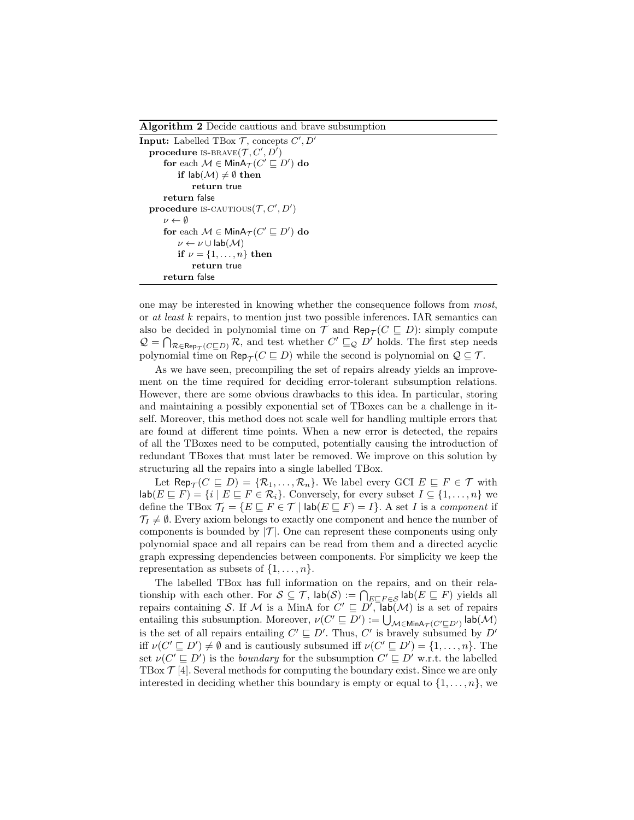Algorithm 2 Decide cautious and brave subsumption

```
Input: Labelled TBox \mathcal{T}, concepts C', D'procedure IS-BRAVE(\mathcal{T}, C', D')for each \mathcal{M} \in \mathsf{MinA}_{\mathcal{T}}(C' \sqsubseteq D') do
          if lab(M) \neq \emptyset then
               return true
     return false
procedure is-CAUTIOUS(T, C', D')\nu \leftarrow \emptysetfor each \mathcal{M} \in \mathsf{MinA}_{\mathcal{T}}(C' \sqsubseteq D') do
          \nu \leftarrow \nu \cup \mathsf{lab}(\mathcal{M})if \nu = \{1, \ldots, n\} then
               return true
     return false
```
one may be interested in knowing whether the consequence follows from most, or at least k repairs, to mention just two possible inferences. IAR semantics can also be decided in polynomial time on  $\mathcal T$  and  $\mathsf{Rep}_{\mathcal T}(C \sqsubseteq D)$ : simply compute  $\mathcal{Q} = \bigcap_{\mathcal{R} \in \mathsf{Rep}_{\mathcal{T}}(C \sqsubseteq D)} \mathcal{R}$ , and test whether  $C' \sqsubseteq_{\mathcal{Q}} D'$  holds. The first step needs polynomial time on  $\mathsf{Rep}_{\mathcal{T}}(C \sqsubseteq D)$  while the second is polynomial on  $\mathcal{Q} \subseteq \mathcal{T}$ .

As we have seen, precompiling the set of repairs already yields an improvement on the time required for deciding error-tolerant subsumption relations. However, there are some obvious drawbacks to this idea. In particular, storing and maintaining a possibly exponential set of TBoxes can be a challenge in itself. Moreover, this method does not scale well for handling multiple errors that are found at different time points. When a new error is detected, the repairs of all the TBoxes need to be computed, potentially causing the introduction of redundant TBoxes that must later be removed. We improve on this solution by structuring all the repairs into a single labelled TBox.

Let  $\mathsf{Rep}_{\mathcal{T}}(C \sqsubseteq D) = \{ \mathcal{R}_1, \ldots, \mathcal{R}_n \}.$  We label every GCI  $E \sqsubseteq F \in \mathcal{T}$  with  $\textsf{lab}(E \sqsubseteq F) = \{i \mid E \sqsubseteq F \in \mathcal{R}_i\}.$  Conversely, for every subset  $I \subseteq \{1, \ldots, n\}$  we define the TBox  $\mathcal{T}_I = \{E \sqsubseteq F \in \mathcal{T} \mid \text{lab}(E \sqsubseteq F) = I\}$ . A set I is a component if  $\mathcal{T}_I \neq \emptyset$ . Every axiom belongs to exactly one component and hence the number of components is bounded by  $|\mathcal{T}|$ . One can represent these components using only polynomial space and all repairs can be read from them and a directed acyclic graph expressing dependencies between components. For simplicity we keep the representation as subsets of  $\{1, \ldots, n\}$ .

The labelled TBox has full information on the repairs, and on their relationship with each other. For  $S \subseteq \mathcal{T}$ ,  $\mathsf{lab}(\mathcal{S}) := \bigcap_{E \sqsubseteq F \in \mathcal{S}} \mathsf{lab}(E \sqsubseteq F)$  yields all repairs containing S. If M is a MinA for  $C' \subseteq D'$ ,  $\overline{\mathsf{lab}}(\mathcal{M})$  is a set of repairs entailing this subsumption. Moreover,  $\nu(C' \sqsubseteq D') := \bigcup_{\mathcal{M} \in \mathsf{MinA}_{\mathcal{T}}(C' \sqsubseteq D')} \mathsf{lab}(\mathcal{M})$ is the set of all repairs entailing  $C' \sqsubseteq D'$ . Thus,  $C'$  is bravely subsumed by  $D'$ iff  $\nu(C' \sqsubseteq D') \neq \emptyset$  and is cautiously subsumed iff  $\nu(C' \sqsubseteq D') = \{1, \ldots, n\}$ . The set  $\nu(C' \sqsubseteq D')$  is the *boundary* for the subsumption  $C' \sqsubseteq D'$  w.r.t. the labelled TBox  $\mathcal{T}$  [4]. Several methods for computing the boundary exist. Since we are only interested in deciding whether this boundary is empty or equal to  $\{1, \ldots, n\}$ , we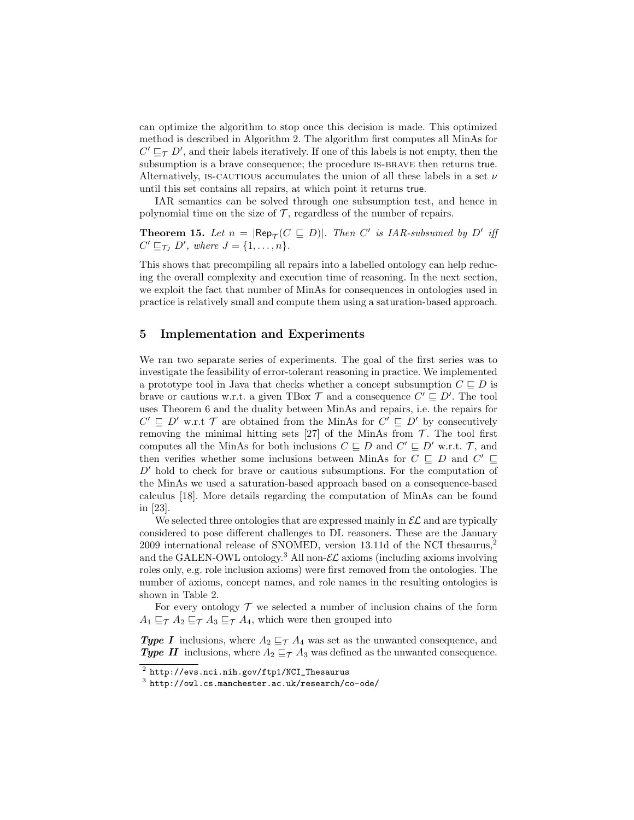can optimize the algorithm to stop once this decision is made. This optimized method is described in Algorithm 2. The algorithm first computes all MinAs for  $C' \sqsubseteq_{\mathcal{T}} D'$ , and their labels iteratively. If one of this labels is not empty, then the subsumption is a brave consequence; the procedure is-brave then returns true. Alternatively, IS-CAUTIOUS accumulates the union of all these labels in a set  $\nu$ until this set contains all repairs, at which point it returns true.

IAR semantics can be solved through one subsumption test, and hence in polynomial time on the size of  $\mathcal T$ , regardless of the number of repairs.

**Theorem 15.** Let  $n = |\text{Rep}_{\mathcal{T}}(C \sqsubseteq D)|$ . Then C' is IAR-subsumed by D' iff  $C' \sqsubseteq_{\mathcal{T}_J} D'$ , where  $J = \{1, \ldots, n\}.$ 

This shows that precompiling all repairs into a labelled ontology can help reducing the overall complexity and execution time of reasoning. In the next section, we exploit the fact that number of MinAs for consequences in ontologies used in practice is relatively small and compute them using a saturation-based approach.

# 5 Implementation and Experiments

We ran two separate series of experiments. The goal of the first series was to investigate the feasibility of error-tolerant reasoning in practice. We implemented a prototype tool in Java that checks whether a concept subsumption  $C \sqsubseteq D$  is brave or cautious w.r.t. a given TBox  $\mathcal{T}$  and a consequence  $C' \sqsubseteq D'$ . The tool uses Theorem 6 and the duality between MinAs and repairs, i.e. the repairs for  $C' \sqsubseteq D'$  w.r.t  $\mathcal T$  are obtained from the MinAs for  $C' \sqsubseteq D'$  by consecutively removing the minimal hitting sets [27] of the MinAs from  $\mathcal{T}$ . The tool first computes all the MinAs for both inclusions  $C \subseteq D$  and  $C' \subseteq D'$  w.r.t.  $\mathcal{T}$ , and then verifies whether some inclusions between MinAs for  $C \subseteq D$  and  $C' \subseteq$  $D'$  hold to check for brave or cautious subsumptions. For the computation of the MinAs we used a saturation-based approach based on a consequence-based calculus [18]. More details regarding the computation of MinAs can be found in [23].

We selected three ontologies that are expressed mainly in  $\mathcal{EL}$  and are typically considered to pose different challenges to DL reasoners. These are the January 2009 international release of SNOMED, version 13.11d of the NCI thesaurus,<sup>2</sup> and the GALEN-OWL ontology.<sup>3</sup> All non- $\mathcal{EL}$  axioms (including axioms involving roles only, e.g. role inclusion axioms) were first removed from the ontologies. The number of axioms, concept names, and role names in the resulting ontologies is shown in Table 2.

For every ontology  $\mathcal T$  we selected a number of inclusion chains of the form  $A_1 \sqsubseteq_{\mathcal{T}} A_2 \sqsubseteq_{\mathcal{T}} A_3 \sqsubseteq_{\mathcal{T}} A_4$ , which were then grouped into

**Type I** inclusions, where  $A_2 \sqsubseteq_{\mathcal{T}} A_4$  was set as the unwanted consequence, and **Type II** inclusions, where  $A_2 \sqsubseteq_{\mathcal{T}} A_3$  was defined as the unwanted consequence.

 $^{\rm 2}$  http://evs.nci.nih.gov/ftp1/NCI\_Thesaurus

 $^3$  http://owl.cs.manchester.ac.uk/research/co-ode/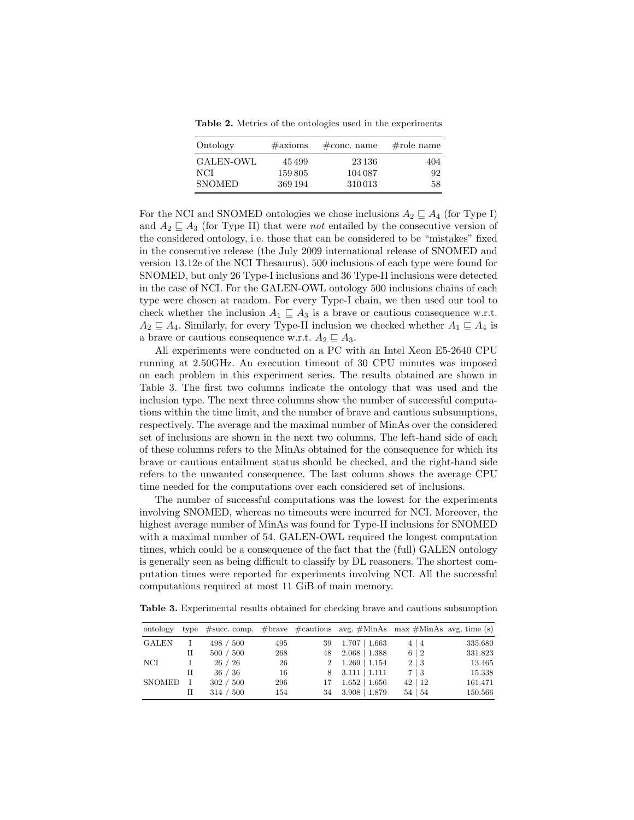Table 2. Metrics of the ontologies used in the experiments

| Ontology      | $\#\text{axioms}$ | $\# \text{conc. name}$ | $\#$ role name |
|---------------|-------------------|------------------------|----------------|
| GALEN-OWL     | 45499             | 23 1 36                | 404            |
| NCI           | 159805            | 104 087                | 92.            |
| <b>SNOMED</b> | 369 194           | 310013                 | 58.            |

For the NCI and SNOMED ontologies we chose inclusions  $A_2 \sqsubseteq A_4$  (for Type I) and  $A_2 \sqsubseteq A_3$  (for Type II) that were *not* entailed by the consecutive version of the considered ontology, i.e. those that can be considered to be "mistakes" fixed in the consecutive release (the July 2009 international release of SNOMED and version 13.12e of the NCI Thesaurus). 500 inclusions of each type were found for SNOMED, but only 26 Type-I inclusions and 36 Type-II inclusions were detected in the case of NCI. For the GALEN-OWL ontology 500 inclusions chains of each type were chosen at random. For every Type-I chain, we then used our tool to check whether the inclusion  $A_1 \subseteq A_3$  is a brave or cautious consequence w.r.t.  $A_2 \subseteq A_4$ . Similarly, for every Type-II inclusion we checked whether  $A_1 \subseteq A_4$  is a brave or cautious consequence w.r.t.  $A_2 \subseteq A_3$ .

All experiments were conducted on a PC with an Intel Xeon E5-2640 CPU running at 2.50GHz. An execution timeout of 30 CPU minutes was imposed on each problem in this experiment series. The results obtained are shown in Table 3. The first two columns indicate the ontology that was used and the inclusion type. The next three columns show the number of successful computations within the time limit, and the number of brave and cautious subsumptions, respectively. The average and the maximal number of MinAs over the considered set of inclusions are shown in the next two columns. The left-hand side of each of these columns refers to the MinAs obtained for the consequence for which its brave or cautious entailment status should be checked, and the right-hand side refers to the unwanted consequence. The last column shows the average CPU time needed for the computations over each considered set of inclusions.

The number of successful computations was the lowest for the experiments involving SNOMED, whereas no timeouts were incurred for NCI. Moreover, the highest average number of MinAs was found for Type-II inclusions for SNOMED with a maximal number of 54. GALEN-OWL required the longest computation times, which could be a consequence of the fact that the (full) GALEN ontology is generally seen as being difficult to classify by DL reasoners. The shortest computation times were reported for experiments involving NCI. All the successful computations required at most 11 GiB of main memory.

Table 3. Experimental results obtained for checking brave and cautious subsumption

| ontology     | type |           |     |    | $#succ. comp.$ #brave #cautious avg. #MinAs max #MinAs avg. time (s) |              |         |
|--------------|------|-----------|-----|----|----------------------------------------------------------------------|--------------|---------|
| <b>GALEN</b> |      | 498 / 500 | 495 | 39 | $1.707 \pm 1.663$                                                    | $4 \mid 4$   | 335.680 |
|              | П    | 500 / 500 | 268 | 48 | $2.068 \pm 1.388$                                                    | 6 2          | 331.823 |
| NCI          | T    | 26/26     | 26  |    | $2 \quad 1.269 \mid 1.154$                                           | $2 \mid 3$   | 13.465  |
|              | П    | 36/36     | 16  |    | $8$ $3.111$   1.111                                                  | $7 \mid 3$   | 15.338  |
| SNOMED       | Τ    | 302 / 500 | 296 | 17 | $1.652 \pm 1.656$                                                    | 42 12        | 161.471 |
|              | П    | 314 / 500 | 154 | 34 | $3.908$   1.879                                                      | $54 \mid 54$ | 150.566 |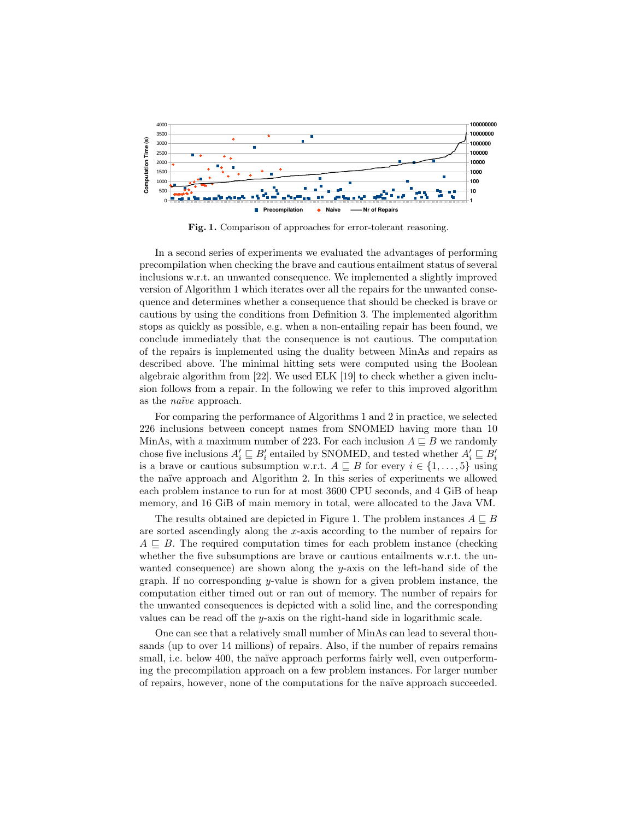

Fig. 1. Comparison of approaches for error-tolerant reasoning.

In a second series of experiments we evaluated the advantages of performing precompilation when checking the brave and cautious entailment status of several inclusions w.r.t. an unwanted consequence. We implemented a slightly improved version of Algorithm 1 which iterates over all the repairs for the unwanted consequence and determines whether a consequence that should be checked is brave or cautious by using the conditions from Definition 3. The implemented algorithm stops as quickly as possible, e.g. when a non-entailing repair has been found, we conclude immediately that the consequence is not cautious. The computation of the repairs is implemented using the duality between MinAs and repairs as described above. The minimal hitting sets were computed using the Boolean algebraic algorithm from [22]. We used ELK [19] to check whether a given inclusion follows from a repair. In the following we refer to this improved algorithm as the *naïve* approach.

For comparing the performance of Algorithms 1 and 2 in practice, we selected 226 inclusions between concept names from SNOMED having more than 10 MinAs, with a maximum number of 223. For each inclusion  $A \sqsubseteq B$  we randomly chose five inclusions  $A'_i \sqsubseteq B'_i$  entailed by SNOMED, and tested whether  $A'_i \sqsubseteq B'_i$ is a brave or cautious subsumption w.r.t.  $A \sqsubseteq B$  for every  $i \in \{1, \ldots, 5\}$  using the naïve approach and Algorithm 2. In this series of experiments we allowed each problem instance to run for at most 3600 CPU seconds, and 4 GiB of heap memory, and 16 GiB of main memory in total, were allocated to the Java VM.

The results obtained are depicted in Figure 1. The problem instances  $A \sqsubseteq B$ are sorted ascendingly along the x-axis according to the number of repairs for  $A \subseteq B$ . The required computation times for each problem instance (checking whether the five subsumptions are brave or cautious entailments w.r.t. the unwanted consequence) are shown along the  $y$ -axis on the left-hand side of the graph. If no corresponding y-value is shown for a given problem instance, the computation either timed out or ran out of memory. The number of repairs for the unwanted consequences is depicted with a solid line, and the corresponding values can be read off the y-axis on the right-hand side in logarithmic scale.

One can see that a relatively small number of MinAs can lead to several thousands (up to over 14 millions) of repairs. Also, if the number of repairs remains small, i.e. below 400, the naïve approach performs fairly well, even outperforming the precompilation approach on a few problem instances. For larger number of repairs, however, none of the computations for the na¨ıve approach succeeded.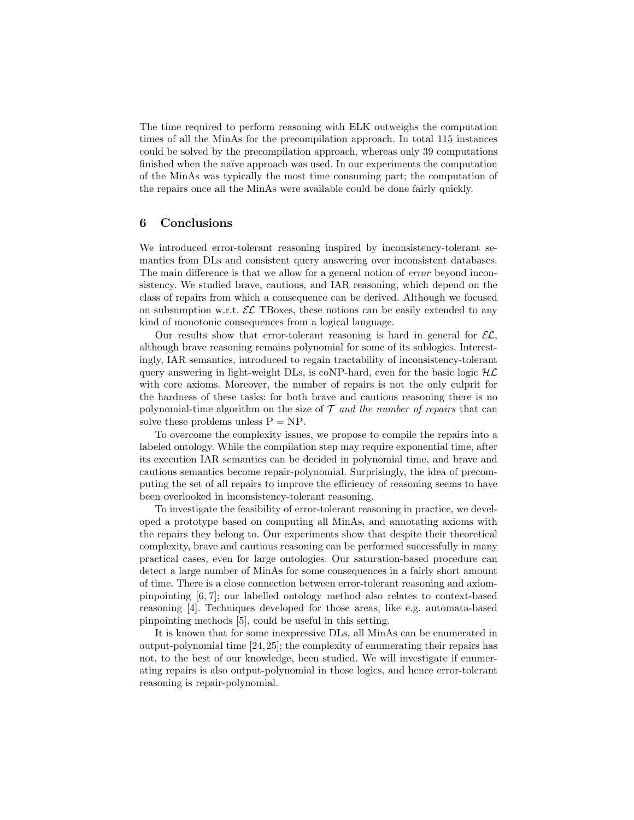The time required to perform reasoning with ELK outweighs the computation times of all the MinAs for the precompilation approach. In total 115 instances could be solved by the precompilation approach, whereas only 39 computations finished when the naïve approach was used. In our experiments the computation of the MinAs was typically the most time consuming part; the computation of the repairs once all the MinAs were available could be done fairly quickly.

### 6 Conclusions

We introduced error-tolerant reasoning inspired by inconsistency-tolerant semantics from DLs and consistent query answering over inconsistent databases. The main difference is that we allow for a general notion of *error* beyond inconsistency. We studied brave, cautious, and IAR reasoning, which depend on the class of repairs from which a consequence can be derived. Although we focused on subsumption w.r.t.  $\mathcal{EL}$  TBoxes, these notions can be easily extended to any kind of monotonic consequences from a logical language.

Our results show that error-tolerant reasoning is hard in general for  $\mathcal{EL}$ , although brave reasoning remains polynomial for some of its sublogics. Interestingly, IAR semantics, introduced to regain tractability of inconsistency-tolerant query answering in light-weight DLs, is coNP-hard, even for the basic logic  $H\mathcal{L}$ with core axioms. Moreover, the number of repairs is not the only culprit for the hardness of these tasks: for both brave and cautious reasoning there is no polynomial-time algorithm on the size of  $\mathcal T$  and the number of repairs that can solve these problems unless  $P = NP$ .

To overcome the complexity issues, we propose to compile the repairs into a labeled ontology. While the compilation step may require exponential time, after its execution IAR semantics can be decided in polynomial time, and brave and cautious semantics become repair-polynomial. Surprisingly, the idea of precomputing the set of all repairs to improve the efficiency of reasoning seems to have been overlooked in inconsistency-tolerant reasoning.

To investigate the feasibility of error-tolerant reasoning in practice, we developed a prototype based on computing all MinAs, and annotating axioms with the repairs they belong to. Our experiments show that despite their theoretical complexity, brave and cautious reasoning can be performed successfully in many practical cases, even for large ontologies. Our saturation-based procedure can detect a large number of MinAs for some consequences in a fairly short amount of time. There is a close connection between error-tolerant reasoning and axiompinpointing [6, 7]; our labelled ontology method also relates to context-based reasoning [4]. Techniques developed for those areas, like e.g. automata-based pinpointing methods [5], could be useful in this setting.

It is known that for some inexpressive DLs, all MinAs can be enumerated in output-polynomial time [24,25]; the complexity of enumerating their repairs has not, to the best of our knowledge, been studied. We will investigate if enumerating repairs is also output-polynomial in those logics, and hence error-tolerant reasoning is repair-polynomial.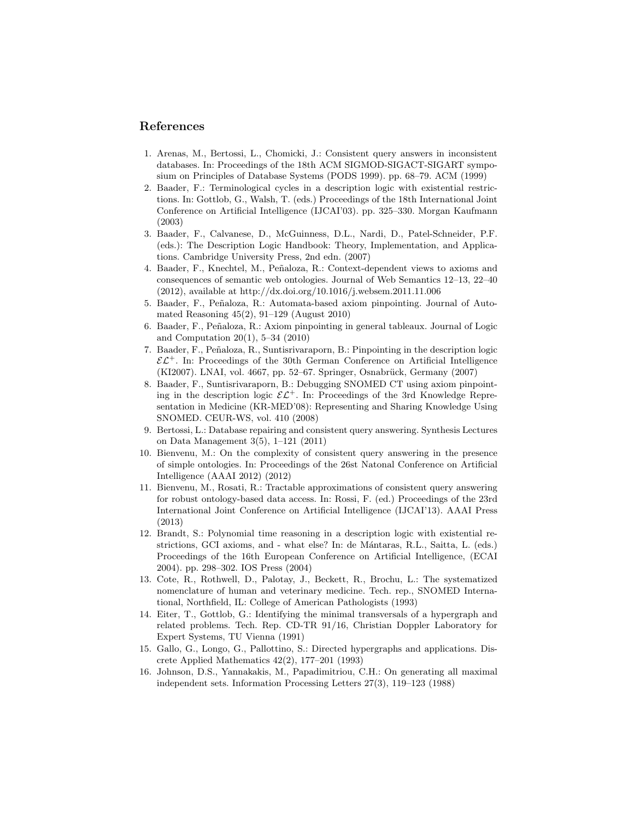### References

- 1. Arenas, M., Bertossi, L., Chomicki, J.: Consistent query answers in inconsistent databases. In: Proceedings of the 18th ACM SIGMOD-SIGACT-SIGART symposium on Principles of Database Systems (PODS 1999). pp. 68–79. ACM (1999)
- 2. Baader, F.: Terminological cycles in a description logic with existential restrictions. In: Gottlob, G., Walsh, T. (eds.) Proceedings of the 18th International Joint Conference on Artificial Intelligence (IJCAI'03). pp. 325–330. Morgan Kaufmann (2003)
- 3. Baader, F., Calvanese, D., McGuinness, D.L., Nardi, D., Patel-Schneider, P.F. (eds.): The Description Logic Handbook: Theory, Implementation, and Applications. Cambridge University Press, 2nd edn. (2007)
- 4. Baader, F., Knechtel, M., Peñaloza, R.: Context-dependent views to axioms and consequences of semantic web ontologies. Journal of Web Semantics 12–13, 22–40 (2012), available at http://dx.doi.org/10.1016/j.websem.2011.11.006
- 5. Baader, F., Peñaloza, R.: Automata-based axiom pinpointing. Journal of Automated Reasoning 45(2), 91–129 (August 2010)
- 6. Baader, F., Pe˜naloza, R.: Axiom pinpointing in general tableaux. Journal of Logic and Computation 20(1), 5–34 (2010)
- 7. Baader, F., Pe˜naloza, R., Suntisrivaraporn, B.: Pinpointing in the description logic  $\mathcal{EL}^+$ . In: Proceedings of the 30th German Conference on Artificial Intelligence (KI2007). LNAI, vol. 4667, pp. 52–67. Springer, Osnabrück, Germany (2007)
- 8. Baader, F., Suntisrivaraporn, B.: Debugging SNOMED CT using axiom pinpointing in the description logic  $\mathcal{EL}^+$ . In: Proceedings of the 3rd Knowledge Representation in Medicine (KR-MED'08): Representing and Sharing Knowledge Using SNOMED. CEUR-WS, vol. 410 (2008)
- 9. Bertossi, L.: Database repairing and consistent query answering. Synthesis Lectures on Data Management 3(5), 1–121 (2011)
- 10. Bienvenu, M.: On the complexity of consistent query answering in the presence of simple ontologies. In: Proceedings of the 26st Natonal Conference on Artificial Intelligence (AAAI 2012) (2012)
- 11. Bienvenu, M., Rosati, R.: Tractable approximations of consistent query answering for robust ontology-based data access. In: Rossi, F. (ed.) Proceedings of the 23rd International Joint Conference on Artificial Intelligence (IJCAI'13). AAAI Press (2013)
- 12. Brandt, S.: Polynomial time reasoning in a description logic with existential restrictions, GCI axioms, and - what else? In: de M´antaras, R.L., Saitta, L. (eds.) Proceedings of the 16th European Conference on Artificial Intelligence, (ECAI 2004). pp. 298–302. IOS Press (2004)
- 13. Cote, R., Rothwell, D., Palotay, J., Beckett, R., Brochu, L.: The systematized nomenclature of human and veterinary medicine. Tech. rep., SNOMED International, Northfield, IL: College of American Pathologists (1993)
- 14. Eiter, T., Gottlob, G.: Identifying the minimal transversals of a hypergraph and related problems. Tech. Rep. CD-TR 91/16, Christian Doppler Laboratory for Expert Systems, TU Vienna (1991)
- 15. Gallo, G., Longo, G., Pallottino, S.: Directed hypergraphs and applications. Discrete Applied Mathematics 42(2), 177–201 (1993)
- 16. Johnson, D.S., Yannakakis, M., Papadimitriou, C.H.: On generating all maximal independent sets. Information Processing Letters 27(3), 119–123 (1988)